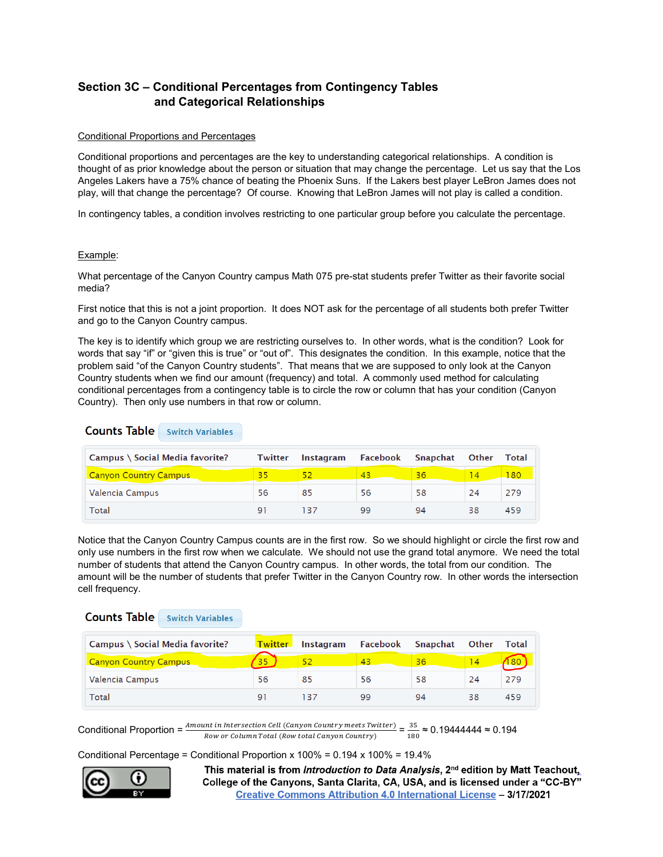# **Section 3C – Conditional Percentages from Contingency Tables and Categorical Relationships**

## Conditional Proportions and Percentages

Conditional proportions and percentages are the key to understanding categorical relationships. A condition is thought of as prior knowledge about the person or situation that may change the percentage. Let us say that the Los Angeles Lakers have a 75% chance of beating the Phoenix Suns. If the Lakers best player LeBron James does not play, will that change the percentage? Of course. Knowing that LeBron James will not play is called a condition.

In contingency tables, a condition involves restricting to one particular group before you calculate the percentage.

## Example:

What percentage of the Canyon Country campus Math 075 pre-stat students prefer Twitter as their favorite social media?

First notice that this is not a joint proportion. It does NOT ask for the percentage of all students both prefer Twitter and go to the Canyon Country campus.

The key is to identify which group we are restricting ourselves to. In other words, what is the condition? Look for words that say "if" or "given this is true" or "out of". This designates the condition. In this example, notice that the problem said "of the Canyon Country students". That means that we are supposed to only look at the Canyon Country students when we find our amount (frequency) and total. A commonly used method for calculating conditional percentages from a contingency table is to circle the row or column that has your condition (Canyon Country). Then only use numbers in that row or column.

**Counts Table** Switch Variables

| Campus \ Social Media favorite? | <b>Twitter</b> | Instagram | Facebook | Snapchat | Other | Total |
|---------------------------------|----------------|-----------|----------|----------|-------|-------|
| <b>Canyon Country Campus</b>    | 35             |           | 43       | 36       |       | 80    |
| Valencia Campus                 | 56             | 85        | 56       | 58       | 24    | 279   |
| Total                           | Q.             | 137       | 99       | 94       | 38    | 459   |

Notice that the Canyon Country Campus counts are in the first row. So we should highlight or circle the first row and only use numbers in the first row when we calculate. We should not use the grand total anymore. We need the total number of students that attend the Canyon Country campus. In other words, the total from our condition. The amount will be the number of students that prefer Twitter in the Canyon Country row. In other words the intersection cell frequency.

## **Counts Table** Switch Variables

| Campus \ Social Media favorite? | <b>Twitter</b> | <b>Instagram</b> | Facebook | Snapchat | <b>Other</b> | Total |
|---------------------------------|----------------|------------------|----------|----------|--------------|-------|
| <b>Canyon Country Campus</b>    |                |                  | 43       | 36       |              |       |
| Valencia Campus                 | 56             | 85               | 56       | 58       | 24           | 279   |
| Total                           | 91             | 137              | 99       | 94       | 38           | 459   |

Conditional Proportion =  $\frac{Amount in Intersection Cell (Canyon Country meets Twitter)}{Row or Column Total (Row total Campo Country)} = \frac{35}{180} \approx 0.19444444 \approx 0.194$ 

Conditional Percentage = Conditional Proportion x 100% = 0.194 x 100% = 19.4%

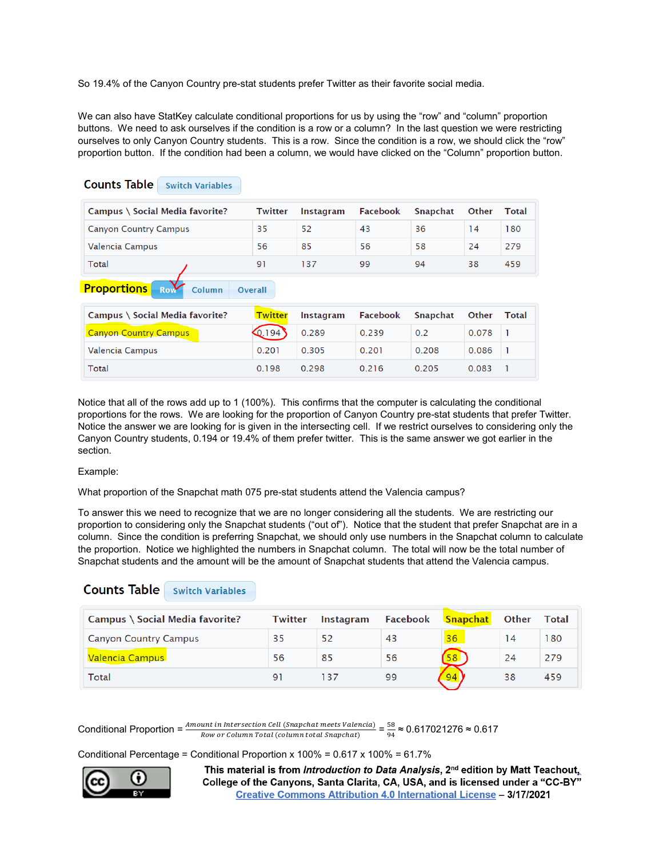So 19.4% of the Canyon Country pre-stat students prefer Twitter as their favorite social media.

We can also have StatKey calculate conditional proportions for us by using the "row" and "column" proportion buttons. We need to ask ourselves if the condition is a row or a column? In the last question we were restricting ourselves to only Canyon Country students. This is a row. Since the condition is a row, we should click the "row" proportion button. If the condition had been a column, we would have clicked on the "Column" proportion button.

| Campus \ Social Media favorite?                                       | <b>Twitter</b>            | Instagram        | <b>Facebook</b> | <b>Snapchat</b> | Other | <b>Total</b>      |
|-----------------------------------------------------------------------|---------------------------|------------------|-----------------|-----------------|-------|-------------------|
| <b>Canyon Country Campus</b>                                          | 35                        | 52               | 43              | 36              | 14    | 180               |
| Valencia Campus                                                       | 56                        | 85               | 56              | 58              | 24    | 279               |
| Total                                                                 | 91                        | 137              | 99              | 94              | 38    | 459               |
|                                                                       |                           |                  |                 |                 |       |                   |
| <b>Row</b><br>Column<br>Campus \ Social Media favorite?               | Overall<br><b>Twitter</b> | <b>Instagram</b> | <b>Facebook</b> | <b>Snapchat</b> | Other |                   |
|                                                                       | Q.194                     | 0.289            | 0.239           | 0.2             | 0.078 | -1                |
| <b>Proportions</b><br><b>Canyon Country Campus</b><br>Valencia Campus | 0.201                     | 0.305            | 0.201           | 0.208           | 0.086 | <b>Total</b><br>n |

## Notice that all of the rows add up to 1 (100%). This confirms that the computer is calculating the conditional proportions for the rows. We are looking for the proportion of Canyon Country pre-stat students that prefer Twitter. Notice the answer we are looking for is given in the intersecting cell. If we restrict ourselves to considering only the Canyon Country students, 0.194 or 19.4% of them prefer twitter. This is the same answer we got earlier in the section.

## Example:

What proportion of the Snapchat math 075 pre-stat students attend the Valencia campus?

To answer this we need to recognize that we are no longer considering all the students. We are restricting our proportion to considering only the Snapchat students ("out of"). Notice that the student that prefer Snapchat are in a column. Since the condition is preferring Snapchat, we should only use numbers in the Snapchat column to calculate the proportion. Notice we highlighted the numbers in Snapchat column. The total will now be the total number of Snapchat students and the amount will be the amount of Snapchat students that attend the Valencia campus.

## **Counts Table** Switch Variables

**Counts Table** Switch Variables

| Campus \ Social Media favorite? | <b>Twitter</b> | <b>Instagram</b> | Facebook | Snapchat | <b>Other</b> | Total |
|---------------------------------|----------------|------------------|----------|----------|--------------|-------|
| <b>Canyon Country Campus</b>    | 35             | 52               | 43       | 36       | 14           | 180   |
| Valencia Campus                 | 56             | 85               | 56       | 58       | 24           | 279   |
| Total                           | 91             | 137              | 99       |          | 38           | 459   |

Conditional Proportion =  $\frac{Amount \text{ in } Interest \text{ on } Cell \text{ (Snapchat } meets \text{ Valencat})}{Row \text{ or Column Total (column total Snapchat)}} = \frac{58}{94} \approx 0.617021276 \approx 0.617$ 

Conditional Percentage = Conditional Proportion x 100% = 0.617 x 100% = 61.7%

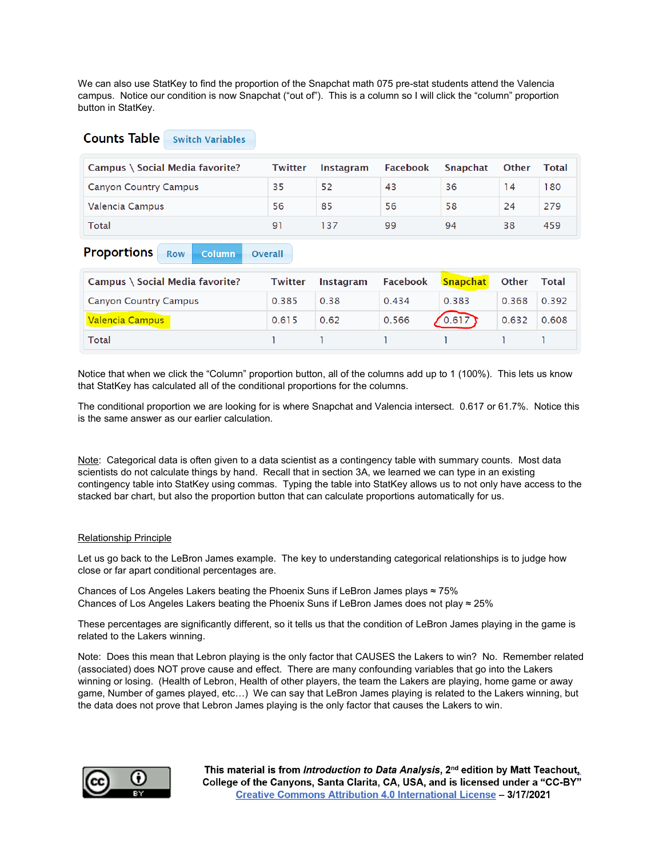We can also use StatKey to find the proportion of the Snapchat math 075 pre-stat students attend the Valencia campus. Notice our condition is now Snapchat ("out of"). This is a column so I will click the "column" proportion button in StatKey.

## **Counts Table** Switch Variables

| Campus \ Social Media favorite? | Twitter | Instagram | Facebook | Snapchat | <b>Other</b> | Total |
|---------------------------------|---------|-----------|----------|----------|--------------|-------|
| <b>Canyon Country Campus</b>    | 35      | 52        | 43       | 36       | 14           | 180   |
| Valencia Campus                 | 56      | 85        | 56       | 58       | 24           | 279   |
| Total                           | Q 1     |           | 99       | 94       | 38           | 459   |

#### **Proportions** Row **Column Overall**

| Campus \ Social Media favorite? | <b>Twitter</b> | <b>Instagram</b> | Facebook | Snapchat | Other | Total |
|---------------------------------|----------------|------------------|----------|----------|-------|-------|
| <b>Canyon Country Campus</b>    | 0.385          | 0.38             | 0.434    | 0.383    | 0.368 | 0.392 |
| Valencia Campus                 | 0.615          | 0.62             | 0.566    | (0.617)  | 0.632 | 0.608 |
| Total                           |                |                  |          |          |       |       |

Notice that when we click the "Column" proportion button, all of the columns add up to 1 (100%). This lets us know that StatKey has calculated all of the conditional proportions for the columns.

The conditional proportion we are looking for is where Snapchat and Valencia intersect. 0.617 or 61.7%. Notice this is the same answer as our earlier calculation.

Note: Categorical data is often given to a data scientist as a contingency table with summary counts. Most data scientists do not calculate things by hand. Recall that in section 3A, we learned we can type in an existing contingency table into StatKey using commas. Typing the table into StatKey allows us to not only have access to the stacked bar chart, but also the proportion button that can calculate proportions automatically for us.

## Relationship Principle

Let us go back to the LeBron James example. The key to understanding categorical relationships is to judge how close or far apart conditional percentages are.

Chances of Los Angeles Lakers beating the Phoenix Suns if LeBron James plays  $\approx 75\%$ Chances of Los Angeles Lakers beating the Phoenix Suns if LeBron James does not play ≈ 25%

These percentages are significantly different, so it tells us that the condition of LeBron James playing in the game is related to the Lakers winning.

Note: Does this mean that Lebron playing is the only factor that CAUSES the Lakers to win? No. Remember related (associated) does NOT prove cause and effect. There are many confounding variables that go into the Lakers winning or losing. (Health of Lebron, Health of other players, the team the Lakers are playing, home game or away game, Number of games played, etc…) We can say that LeBron James playing is related to the Lakers winning, but the data does not prove that Lebron James playing is the only factor that causes the Lakers to win.